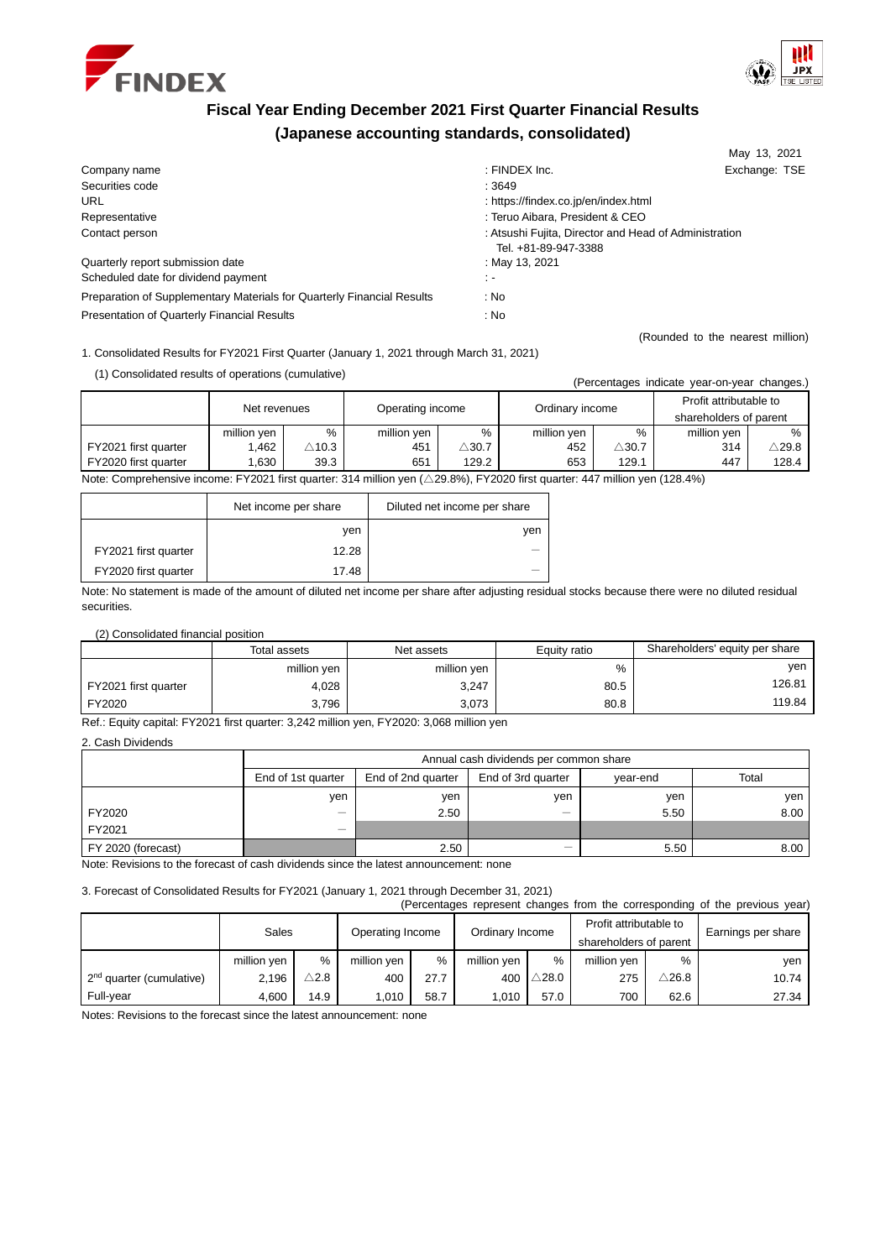



May 13, 2021

(Rounded to the nearest million)

# **Fiscal Year Ending December 2021 First Quarter Financial Results (Japanese accounting standards, consolidated)**

| Company name                                                           | : FINDEX Inc.                                                                 | Exchange: TSE |  |
|------------------------------------------------------------------------|-------------------------------------------------------------------------------|---------------|--|
| Securities code                                                        | :3649                                                                         |               |  |
| <b>URL</b>                                                             | : https://findex.co.jp/en/index.html                                          |               |  |
| Representative                                                         | : Teruo Aibara, President & CEO                                               |               |  |
| Contact person                                                         | : Atsushi Fujita, Director and Head of Administration<br>Tel. +81-89-947-3388 |               |  |
| Quarterly report submission date                                       | : May 13, 2021                                                                |               |  |
| Scheduled date for dividend payment                                    | ÷.                                                                            |               |  |
| Preparation of Supplementary Materials for Quarterly Financial Results | : No                                                                          |               |  |
| Presentation of Quarterly Financial Results                            | : No                                                                          |               |  |

1. Consolidated Results for FY2021 First Quarter (January 1, 2021 through March 31, 2021)

| (1) Consolidated results of operations (cumulative) |  |  |
|-----------------------------------------------------|--|--|
|-----------------------------------------------------|--|--|

| (1) Consolidated results or operations (curriculative)                                                                                           |              |                  |                  |                  | (Percentages indicate year-on-year changes.) |                  |                                                  |               |
|--------------------------------------------------------------------------------------------------------------------------------------------------|--------------|------------------|------------------|------------------|----------------------------------------------|------------------|--------------------------------------------------|---------------|
|                                                                                                                                                  | Net revenues |                  | Operating income |                  | Ordinary income                              |                  | Profit attributable to<br>shareholders of parent |               |
|                                                                                                                                                  | million yen  | %                | million yen      | %                | million ven                                  | %                | million ven                                      | $\%$          |
| FY2021 first quarter                                                                                                                             | 1.462        | $\triangle$ 10.3 | 451              | $\triangle$ 30.7 | 452                                          | $\triangle$ 30.7 | 314                                              | $\wedge$ 29.8 |
| FY2020 first quarter                                                                                                                             | .630         | 39.3             | 651              | 129.2            | 653                                          | 129.1            | 447                                              | 128.4         |
| $\sim$ EVOODA first measured at a silling can ( $\land$ OO OD). EVOODD first measured at a silling can (400,40).<br>Matar Ossessakas abra beares |              |                  |                  |                  |                                              |                  |                                                  |               |

Note: Comprehensive income: FY2021 first quarter: 314 million yen (△29.8%), FY2020 first quarter: 447 million yen (128.4%)

|                      | Net income per share | Diluted net income per share |
|----------------------|----------------------|------------------------------|
|                      | ven                  | yen                          |
| FY2021 first quarter | 12.28                | –                            |
| FY2020 first quarter | 17.48                |                              |

Note: No statement is made of the amount of diluted net income per share after adjusting residual stocks because there were no diluted residual securities.

(2) Consolidated financial position

|                      | Total assets | Net assets  | Equity ratio | Shareholders' equity per share |
|----------------------|--------------|-------------|--------------|--------------------------------|
|                      | million yen  | million yen | %            | yen                            |
| FY2021 first quarter | 4,028        | 3,247       | 80.5         | 126.81                         |
| FY2020               | 3.796        | 3.073       | 80.8         | 119.84                         |

Ref.: Equity capital: FY2021 first quarter: 3,242 million yen, FY2020: 3,068 million yen

2. Cash Dividends

|                                                                                        |                          | Annual cash dividends per common share |                    |          |       |  |  |
|----------------------------------------------------------------------------------------|--------------------------|----------------------------------------|--------------------|----------|-------|--|--|
|                                                                                        | End of 1st quarter       | End of 2nd quarter                     | End of 3rd quarter | vear-end | Total |  |  |
|                                                                                        | yen                      | ven                                    | ven                | yen      | yen l |  |  |
| FY2020                                                                                 | $\overline{\phantom{0}}$ | 2.50                                   | _                  | 5.50     | 8.00  |  |  |
| FY2021                                                                                 |                          |                                        |                    |          |       |  |  |
| FY 2020 (forecast)                                                                     |                          | 2.50                                   | -                  | 5.50     | 8.00  |  |  |
| Nata: Davisiana ta tha faracact of cook dividende since the lotest concernacement none |                          |                                        |                    |          |       |  |  |

Note: Revisions to the forecast of cash dividends since the latest announcement: none

3. Forecast of Consolidated Results for FY2021 (January 1, 2021 through December 31, 2021)

|                                      |             |                 |                  |      |                 |                  |                                                  |                  | (Percentages represent changes from the corresponding of the previous year) |
|--------------------------------------|-------------|-----------------|------------------|------|-----------------|------------------|--------------------------------------------------|------------------|-----------------------------------------------------------------------------|
|                                      | Sales       |                 | Operating Income |      | Ordinary Income |                  | Profit attributable to<br>shareholders of parent |                  | Earnings per share                                                          |
|                                      | million yen | %               | million ven      | %    | million ven     | %                | million ven                                      | %                | ven                                                                         |
| 2 <sup>nd</sup> quarter (cumulative) | 2,196       | $\triangle$ 2.8 | 400              | 27.7 | 400             | $\triangle$ 28.0 | 275                                              | $\triangle$ 26.8 | 10.74                                                                       |
| Full-year                            | 4,600       | 14.9            | 1,010            | 58.7 | 1,010           | 57.0             | 700                                              | 62.6             | 27.34                                                                       |

Notes: Revisions to the forecast since the latest announcement: none